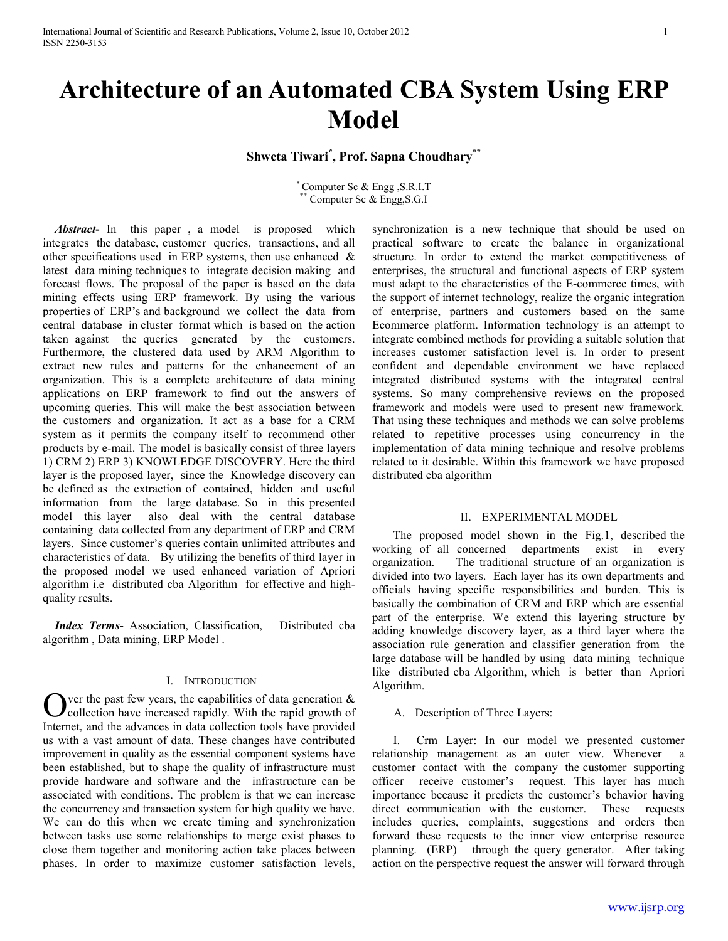# **Architecture of an Automated CBA System Using ERP Model**

**Shweta Tiwari\* , Prof. Sapna Choudhary\*\***

\* Computer Sc & Engg ,S.R.I.T Computer Sc & Engg, S.G.I

 *Abstract***-** In this paper , a model is proposed which integrates the database, customer queries, transactions, and all other specifications used in ERP systems, then use enhanced & latest data mining techniques to integrate decision making and forecast flows. The proposal of the paper is based on the data mining effects using ERP framework. By using the various properties of ERP's and background we collect the data from central database in cluster format which is based on the action taken against the queries generated by the customers. Furthermore, the clustered data used by ARM Algorithm to extract new rules and patterns for the enhancement of an organization. This is a complete architecture of data mining applications on ERP framework to find out the answers of upcoming queries. This will make the best association between the customers and organization. It act as a base for a CRM system as it permits the company itself to recommend other products by e-mail. The model is basically consist of three layers 1) CRM 2) ERP 3) KNOWLEDGE DISCOVERY. Here the third layer is the proposed layer, since the Knowledge discovery can be defined as the extraction of contained, hidden and useful information from the large database. So in this presented model this layer also deal with the central database containing data collected from any department of ERP and CRM layers. Since customer's queries contain unlimited attributes and characteristics of data. By utilizing the benefits of third layer in the proposed model we used enhanced variation of Apriori algorithm i.e distributed cba Algorithm for effective and highquality results.

 *Index Terms*- Association, Classification, Distributed cba algorithm , Data mining, ERP Model .

### I. INTRODUCTION

 $\sum$  ver the past few years, the capabilities of data generation  $\&$  collection have increased rapidly. With the rapid growth of collection have increased rapidly. With the rapid growth of Internet, and the advances in data collection tools have provided us with a vast amount of data. These changes have contributed improvement in quality as the essential component systems have been established, but to shape the quality of infrastructure must provide hardware and software and the infrastructure can be associated with conditions. The problem is that we can increase the concurrency and transaction system for high quality we have. We can do this when we create timing and synchronization between tasks use some relationships to merge exist phases to close them together and monitoring action take places between phases. In order to maximize customer satisfaction levels,

synchronization is a new technique that should be used on practical software to create the balance in organizational structure. In order to extend the market competitiveness of enterprises, the structural and functional aspects of ERP system must adapt to the characteristics of the E-commerce times, with the support of internet technology, realize the organic integration of enterprise, partners and customers based on the same Ecommerce platform. Information technology is an attempt to integrate combined methods for providing a suitable solution that increases customer satisfaction level is. In order to present confident and dependable environment we have replaced integrated distributed systems with the integrated central systems. So many comprehensive reviews on the proposed framework and models were used to present new framework. That using these techniques and methods we can solve problems related to repetitive processes using concurrency in the implementation of data mining technique and resolve problems related to it desirable. Within this framework we have proposed distributed cba algorithm

#### II. EXPERIMENTAL MODEL

 The proposed model shown in the Fig.1, described the working of all concerned departments exist in every organization. The traditional structure of an organization is divided into two layers. Each layer has its own departments and officials having specific responsibilities and burden. This is basically the combination of CRM and ERP which are essential part of the enterprise. We extend this layering structure by adding knowledge discovery layer, as a third layer where the association rule generation and classifier generation from the large database will be handled by using data mining technique like distributed cba Algorithm, which is better than Apriori Algorithm.

A. Description of Three Layers:

 I. Crm Layer: In our model we presented customer relationship management as an outer view. Whenever a customer contact with the company the customer supporting officer receive customer's request. This layer has much importance because it predicts the customer's behavior having direct communication with the customer. These requests includes queries, complaints, suggestions and orders then forward these requests to the inner view enterprise resource planning. (ERP) through the query generator. After taking action on the perspective request the answer will forward through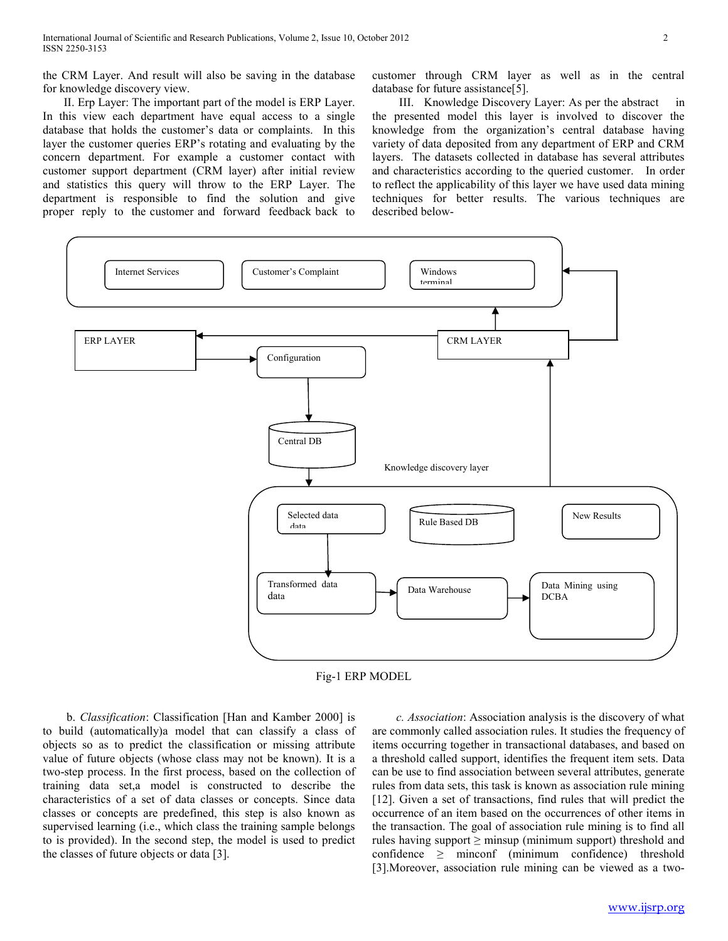the CRM Layer. And result will also be saving in the database for knowledge discovery view.

 II. Erp Layer: The important part of the model is ERP Layer. In this view each department have equal access to a single database that holds the customer's data or complaints. In this layer the customer queries ERP's rotating and evaluating by the concern department. For example a customer contact with customer support department (CRM layer) after initial review and statistics this query will throw to the ERP Layer. The department is responsible to find the solution and give proper reply to the customer and forward feedback back to

customer through CRM layer as well as in the central database for future assistance[5].

III. Knowledge Discovery Layer: As per the abstract the presented model this layer is involved to discover the knowledge from the organization's central database having variety of data deposited from any department of ERP and CRM layers. The datasets collected in database has several attributes and characteristics according to the queried customer. In order to reflect the applicability of this layer we have used data mining techniques for better results. The various techniques are described below-



Fig-1 ERP MODEL

 b. *Classification*: Classification [Han and Kamber 2000] is to build (automatically)a model that can classify a class of objects so as to predict the classification or missing attribute value of future objects (whose class may not be known). It is a two-step process. In the first process, based on the collection of training data set,a model is constructed to describe the characteristics of a set of data classes or concepts. Since data classes or concepts are predefined, this step is also known as supervised learning (i.e., which class the training sample belongs to is provided). In the second step, the model is used to predict the classes of future objects or data [3].

 *c. Association*: Association analysis is the discovery of what are commonly called association rules. It studies the frequency of items occurring together in transactional databases, and based on a threshold called support, identifies the frequent item sets. Data can be use to find association between several attributes, generate rules from data sets, this task is known as association rule mining [12]. Given a set of transactions, find rules that will predict the occurrence of an item based on the occurrences of other items in the transaction. The goal of association rule mining is to find all rules having support  $\geq$  minsup (minimum support) threshold and confidence  $\geq$  minconf (minimum confidence) threshold [3].Moreover, association rule mining can be viewed as a two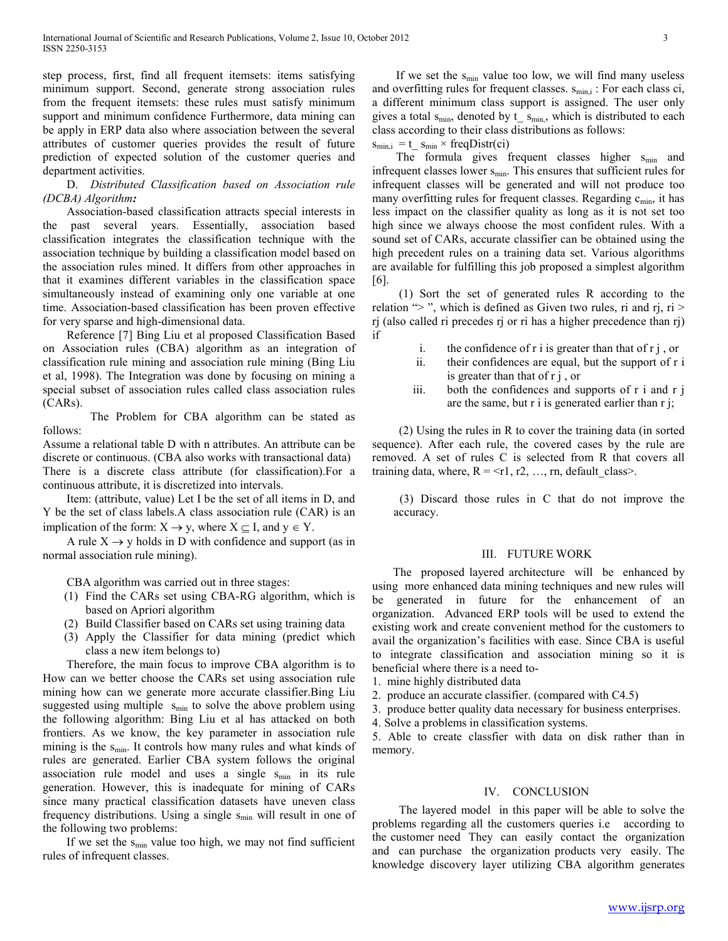step process, first, find all frequent itemsets: items satisfying minimum support. Second, generate strong association rules from the frequent itemsets: these rules must satisfy minimum support and minimum confidence Furthermore, data mining can be apply in ERP data also where association between the several attributes of customer queries provides the result of future prediction of expected solution of the customer queries and department activities.

 D. *Distributed Classification based on Association rule (DCBA) Algorithm:* 

 Association-based classification attracts special interests in the past several years. Essentially, association based classification integrates the classification technique with the association technique by building a classification model based on the association rules mined. It differs from other approaches in that it examines different variables in the classification space simultaneously instead of examining only one variable at one time. Association-based classification has been proven effective for very sparse and high-dimensional data.

 Reference [7] Bing Liu et al proposed Classification Based on Association rules (CBA) algorithm as an integration of classification rule mining and association rule mining (Bing Liu et al, 1998). The Integration was done by focusing on mining a special subset of association rules called class association rules (CARs).

 The Problem for CBA algorithm can be stated as follows:

Assume a relational table D with n attributes. An attribute can be discrete or continuous. (CBA also works with transactional data) There is a discrete class attribute (for classification).For a continuous attribute, it is discretized into intervals.

 Item: (attribute, value) Let I be the set of all items in D, and Y be the set of class labels.A class association rule (CAR) is an implication of the form:  $X \rightarrow y$ , where  $X \subseteq I$ , and  $y \in Y$ .

A rule  $X \rightarrow y$  holds in D with confidence and support (as in normal association rule mining).

CBA algorithm was carried out in three stages:

- (1) Find the CARs set using CBA-RG algorithm, which is based on Apriori algorithm
- (2) Build Classifier based on CARs set using training data
- (3) Apply the Classifier for data mining (predict which class a new item belongs to)

 Therefore, the main focus to improve CBA algorithm is to How can we better choose the CARs set using association rule mining how can we generate more accurate classifier.Bing Liu suggested using multiple  $s_{min}$  to solve the above problem using the following algorithm: Bing Liu et al has attacked on both frontiers. As we know, the key parameter in association rule mining is the  $s_{min}$ . It controls how many rules and what kinds of rules are generated. Earlier CBA system follows the original association rule model and uses a single  $s_{min}$  in its rule generation. However, this is inadequate for mining of CARs since many practical classification datasets have uneven class frequency distributions. Using a single  $s_{min}$  will result in one of the following two problems:

If we set the  $s_{min}$  value too high, we may not find sufficient rules of infrequent classes.

If we set the  $s_{\text{min}}$  value too low, we will find many useless and overfitting rules for frequent classes.  $s_{min,i}$ : For each class ci, a different minimum class support is assigned. The user only gives a total  $s_{\text{min}}$ , denoted by  $t_{\text{min}}$ , which is distributed to each class according to their class distributions as follows:

 $s_{min,i} = t$   $s_{min} \times freqDist(ci)$ 

The formula gives frequent classes higher  $s_{min}$  and infrequent classes lower  $s_{min}$ . This ensures that sufficient rules for infrequent classes will be generated and will not produce too many overfitting rules for frequent classes. Regarding  $c_{min}$ , it has less impact on the classifier quality as long as it is not set too high since we always choose the most confident rules. With a sound set of CARs, accurate classifier can be obtained using the high precedent rules on a training data set. Various algorithms are available for fulfilling this job proposed a simplest algorithm [6].

 (1) Sort the set of generated rules R according to the relation " $>$ ", which is defined as Given two rules, ri and rj, ri  $>$ rj (also called ri precedes rj or ri has a higher precedence than rj) if

- i. the confidence of r i is greater than that of  $r$  j, or
- ii. their confidences are equal, but the support of r i is greater than that of r j , or
- iii. both the confidences and supports of r i and r j are the same, but r i is generated earlier than r j;

 (2) Using the rules in R to cover the training data (in sorted sequence). After each rule, the covered cases by the rule are removed. A set of rules C is selected from R that covers all training data, where,  $R = \langle r1, r2, \dots, rn \rangle$ , default class>.

 (3) Discard those rules in C that do not improve the accuracy.

### III. FUTURE WORK

 The proposed layered architecture will be enhanced by using more enhanced data mining techniques and new rules will be generated in future for the enhancement of an organization. Advanced ERP tools will be used to extend the existing work and create convenient method for the customers to avail the organization's facilities with ease. Since CBA is useful to integrate classification and association mining so it is beneficial where there is a need to-

- 1. mine highly distributed data
- 2. produce an accurate classifier. (compared with C4.5)
- 3. produce better quality data necessary for business enterprises.
- 4. Solve a problems in classification systems.

5. Able to create classfier with data on disk rather than in memory.

## IV. CONCLUSION

 The layered model in this paper will be able to solve the problems regarding all the customers queries i.e according to the customer need They can easily contact the organization and can purchase the organization products very easily. The knowledge discovery layer utilizing CBA algorithm generates